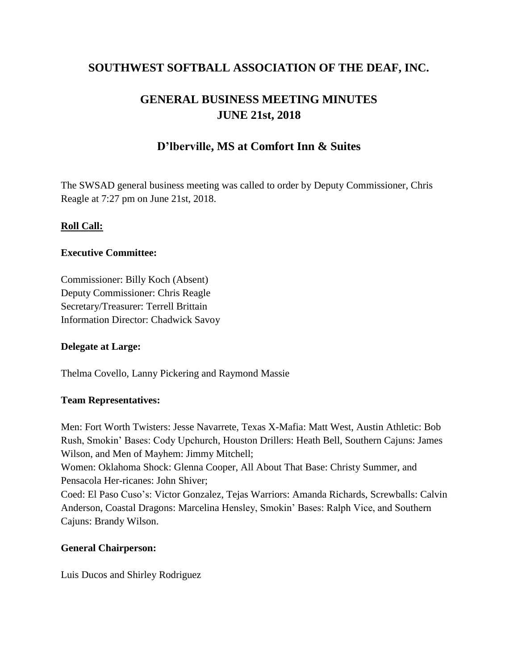# **SOUTHWEST SOFTBALL ASSOCIATION OF THE DEAF, INC.**

# **GENERAL BUSINESS MEETING MINUTES JUNE 21st, 2018**

# **D'lberville, MS at Comfort Inn & Suites**

The SWSAD general business meeting was called to order by Deputy Commissioner, Chris Reagle at 7:27 pm on June 21st, 2018.

# **Roll Call:**

## **Executive Committee:**

Commissioner: Billy Koch (Absent) Deputy Commissioner: Chris Reagle Secretary/Treasurer: Terrell Brittain Information Director: Chadwick Savoy

# **Delegate at Large:**

Thelma Covello, Lanny Pickering and Raymond Massie

## **Team Representatives:**

Men: Fort Worth Twisters: Jesse Navarrete, Texas X-Mafia: Matt West, Austin Athletic: Bob Rush, Smokin' Bases: Cody Upchurch, Houston Drillers: Heath Bell, Southern Cajuns: James Wilson, and Men of Mayhem: Jimmy Mitchell; Women: Oklahoma Shock: Glenna Cooper, All About That Base: Christy Summer, and Pensacola Her-ricanes: John Shiver; Coed: El Paso Cuso's: Victor Gonzalez, Tejas Warriors: Amanda Richards, Screwballs: Calvin Anderson, Coastal Dragons: Marcelina Hensley, Smokin' Bases: Ralph Vice, and Southern

# **General Chairperson:**

Cajuns: Brandy Wilson.

Luis Ducos and Shirley Rodriguez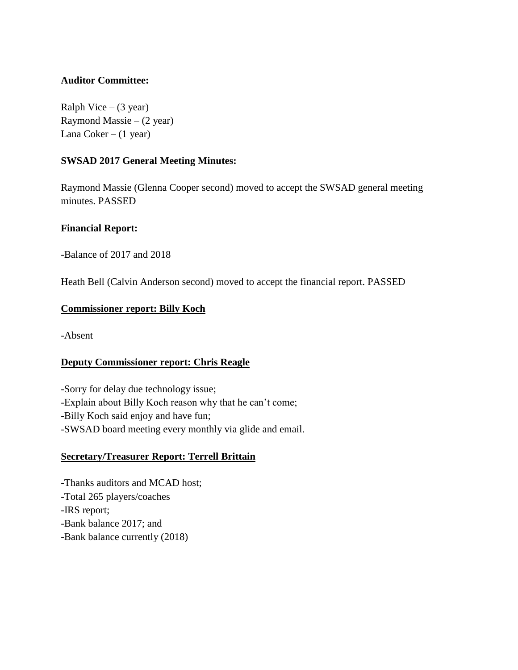## **Auditor Committee:**

Ralph Vice  $-$  (3 year) Raymond Massie –  $(2 \text{ year})$ Lana  $Coker - (1 \text{ year})$ 

## **SWSAD 2017 General Meeting Minutes:**

Raymond Massie (Glenna Cooper second) moved to accept the SWSAD general meeting minutes. PASSED

## **Financial Report:**

-Balance of 2017 and 2018

Heath Bell (Calvin Anderson second) moved to accept the financial report. PASSED

## **Commissioner report: Billy Koch**

-Absent

# **Deputy Commissioner report: Chris Reagle**

-Sorry for delay due technology issue; -Explain about Billy Koch reason why that he can't come; -Billy Koch said enjoy and have fun; -SWSAD board meeting every monthly via glide and email.

# **Secretary/Treasurer Report: Terrell Brittain**

-Thanks auditors and MCAD host; -Total 265 players/coaches -IRS report; -Bank balance 2017; and -Bank balance currently (2018)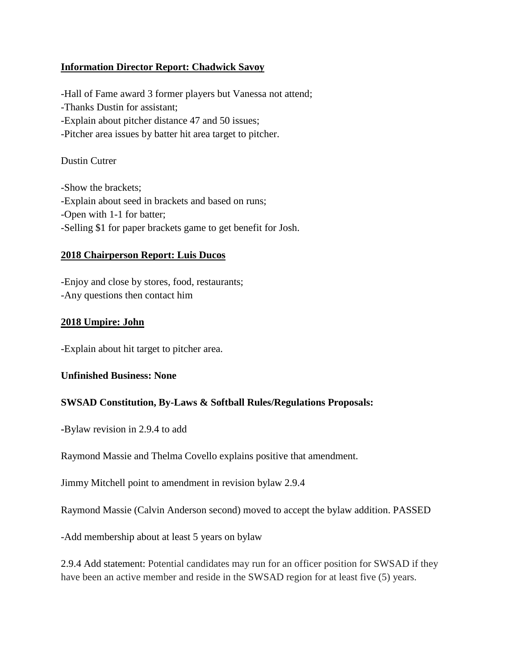## **Information Director Report: Chadwick Savoy**

-Hall of Fame award 3 former players but Vanessa not attend; -Thanks Dustin for assistant; -Explain about pitcher distance 47 and 50 issues; -Pitcher area issues by batter hit area target to pitcher.

#### Dustin Cutrer

-Show the brackets; -Explain about seed in brackets and based on runs; -Open with 1-1 for batter; -Selling \$1 for paper brackets game to get benefit for Josh.

## **2018 Chairperson Report: Luis Ducos**

-Enjoy and close by stores, food, restaurants; -Any questions then contact him

#### **2018 Umpire: John**

-Explain about hit target to pitcher area.

#### **Unfinished Business: None**

## **SWSAD Constitution, By-Laws & Softball Rules/Regulations Proposals:**

**-**Bylaw revision in 2.9.4 to add

Raymond Massie and Thelma Covello explains positive that amendment.

Jimmy Mitchell point to amendment in revision bylaw 2.9.4

Raymond Massie (Calvin Anderson second) moved to accept the bylaw addition. PASSED

-Add membership about at least 5 years on bylaw

2.9.4 Add statement: Potential candidates may run for an officer position for SWSAD if they have been an active member and reside in the SWSAD region for at least five (5) years.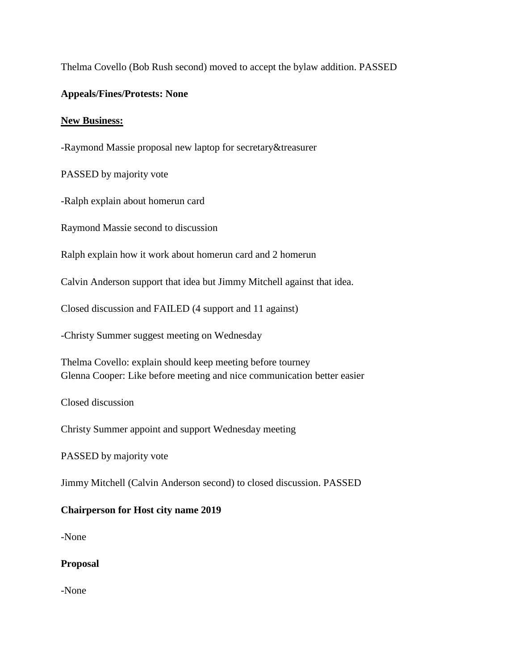Thelma Covello (Bob Rush second) moved to accept the bylaw addition. PASSED

## **Appeals/Fines/Protests: None**

#### **New Business:**

-Raymond Massie proposal new laptop for secretary&treasurer

PASSED by majority vote

-Ralph explain about homerun card

Raymond Massie second to discussion

Ralph explain how it work about homerun card and 2 homerun

Calvin Anderson support that idea but Jimmy Mitchell against that idea.

Closed discussion and FAILED (4 support and 11 against)

-Christy Summer suggest meeting on Wednesday

Thelma Covello: explain should keep meeting before tourney Glenna Cooper: Like before meeting and nice communication better easier

Closed discussion

Christy Summer appoint and support Wednesday meeting

PASSED by majority vote

Jimmy Mitchell (Calvin Anderson second) to closed discussion. PASSED

# **Chairperson for Host city name 2019**

-None

## **Proposal**

-None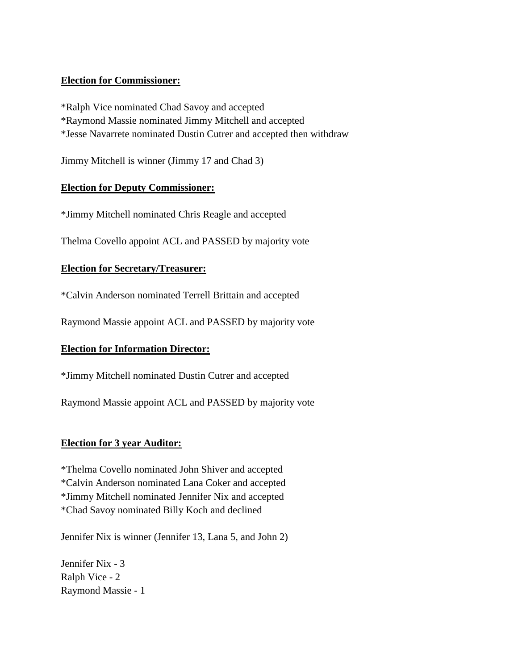## **Election for Commissioner:**

\*Ralph Vice nominated Chad Savoy and accepted \*Raymond Massie nominated Jimmy Mitchell and accepted \*Jesse Navarrete nominated Dustin Cutrer and accepted then withdraw

Jimmy Mitchell is winner (Jimmy 17 and Chad 3)

## **Election for Deputy Commissioner:**

\*Jimmy Mitchell nominated Chris Reagle and accepted

Thelma Covello appoint ACL and PASSED by majority vote

## **Election for Secretary/Treasurer:**

\*Calvin Anderson nominated Terrell Brittain and accepted

Raymond Massie appoint ACL and PASSED by majority vote

## **Election for Information Director:**

\*Jimmy Mitchell nominated Dustin Cutrer and accepted

Raymond Massie appoint ACL and PASSED by majority vote

## **Election for 3 year Auditor:**

\*Thelma Covello nominated John Shiver and accepted \*Calvin Anderson nominated Lana Coker and accepted \*Jimmy Mitchell nominated Jennifer Nix and accepted \*Chad Savoy nominated Billy Koch and declined

Jennifer Nix is winner (Jennifer 13, Lana 5, and John 2)

Jennifer Nix - 3 Ralph Vice - 2 Raymond Massie - 1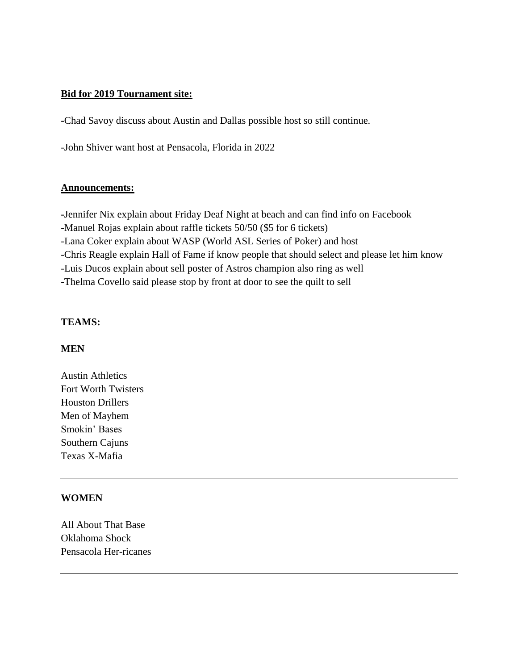## **Bid for 2019 Tournament site:**

**-**Chad Savoy discuss about Austin and Dallas possible host so still continue.

-John Shiver want host at Pensacola, Florida in 2022

#### **Announcements:**

**-**Jennifer Nix explain about Friday Deaf Night at beach and can find info on Facebook -Manuel Rojas explain about raffle tickets 50/50 (\$5 for 6 tickets) -Lana Coker explain about WASP (World ASL Series of Poker) and host -Chris Reagle explain Hall of Fame if know people that should select and please let him know -Luis Ducos explain about sell poster of Astros champion also ring as well -Thelma Covello said please stop by front at door to see the quilt to sell

#### **TEAMS:**

#### **MEN**

Austin Athletics Fort Worth Twisters Houston Drillers Men of Mayhem Smokin' Bases Southern Cajuns Texas X-Mafia

#### **WOMEN**

All About That Base Oklahoma Shock Pensacola Her-ricanes